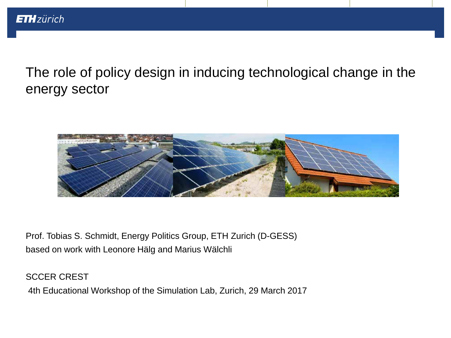The role of policy design in inducing technological change in the energy sector



Prof. Tobias S. Schmidt, Energy Politics Group, ETH Zurich (D-GESS) based on work with Leonore Hälg and Marius Wälchli

SCCER CREST

4th Educational Workshop of the Simulation Lab, Zurich, 29 March 2017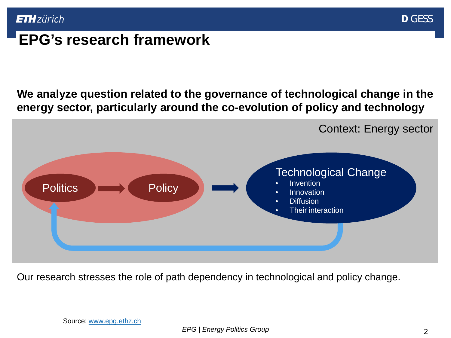

# **EPG's research framework**

**We analyze question related to the governance of technological change in the energy sector, particularly around the co-evolution of policy and technology**



Our research stresses the role of path dependency in technological and policy change.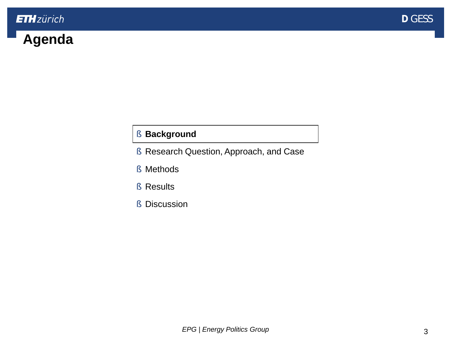# <span id="page-2-0"></span>**Agenda**

### § **Background**

- § [Research Question, Approach, and Case](#page-10-0)
- § [Methods](#page-13-0)
- § [Results](#page-18-0)
- § [Discussion](#page-22-0)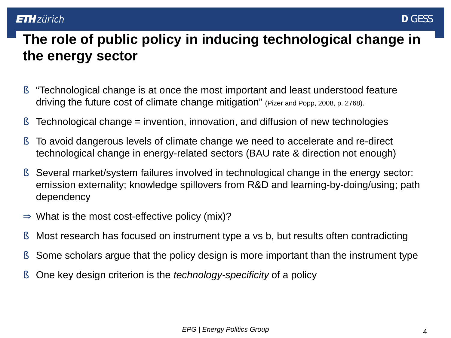# **The role of public policy in inducing technological change in the energy sector**

- § "Technological change is at once the most important and least understood feature driving the future cost of climate change mitigation" (Pizer and Popp, 2008, p. 2768).
- **§** Technological change = invention, innovation, and diffusion of new technologies
- § To avoid dangerous levels of climate change we need to accelerate and re-direct technological change in energy-related sectors (BAU rate & direction not enough)
- § Several market/system failures involved in technological change in the energy sector: emission externality; knowledge spillovers from R&D and learning-by-doing/using; path dependency
- What is the most cost-effective policy (mix)? Þ
- § Most research has focused on instrument type a vs b, but results often contradicting
- § Some scholars argue that the policy design is more important than the instrument type
- § One key design criterion is the *technology-specificity* of a policy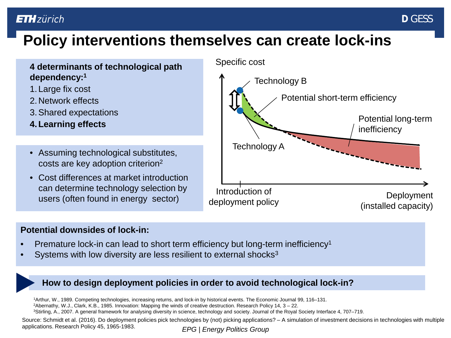# **Policy interventions themselves can create lock-ins**

#### **4 determinants of technological path dependency:1**

- 1. Large fix cost
- 2.Network effects
- 3.Shared expectations
- **4.Learning effects**
- Assuming technological substitutes, costs are key adoption criterion2
- Cost differences at market introduction can determine technology selection by users (often found in energy sector)

#### Specific cost



#### **Potential downsides of lock-in:**

- Premature lock-in can lead to short term efficiency but long-term inefficiency<sup>1</sup>
- Systems with low diversity are less resilient to external shocks<sup>3</sup>

#### **How to design deployment policies in order to avoid technological lock-in?**

1Arthur, W., 1989. Competing technologies, increasing returns, and lock-in by historical events. The Economic Journal 99, 116–131.<br><sup>2</sup>Abernathy, W.J., Clark, K.B., 1985. Innovation: Mapping the winds of creative destructio

*EPG | Energy Politics Group* Source: Schmidt et al. (2016). Do deployment policies pick technologies by (not) picking applications? – A simulation of investment decisions in technologies with multiple applications. Research Policy 45, 1965-1983.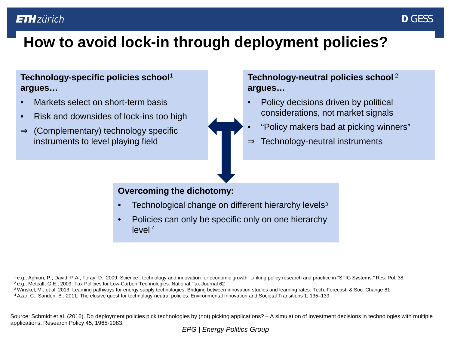# **How to avoid lock-in through deployment policies?**

#### **Technology-specific policies school**<sup>1</sup> **argues…**

- Markets select on short-term basis
- Risk and downsides of lock-ins too high
- Þ (Complementary) technology specific instruments to level playing field



#### **Technology-neutral policies school** <sup>2</sup> **argues…**

- Policy decisions driven by political considerations, not market signals
- "Policy makers bad at picking winners"
- Technology-neutral instruments Þ

#### **Overcoming the dichotomy:**

- Technological change on different hierarchy levels<sup>3</sup>
- Policies can only be specific only on one hierarchy level <sup>4</sup>

<sup>1</sup> e.g., Aghion, P., David, P.A., Foray, D., 2009. Science, technology and innovation for economic growth: Linking policy research and practice in "STIG Systems." Res. Pol. 38<br><sup>2</sup> e.g., Metcalf, G.E., 2009. Tax Policies f

<sup>3</sup> Winskel, M., et al. 2013. Learning pathways for energy supply technologies: Bridging between innovation studies and learning rates. Tech. Forecast. & Soc. Change 81<br><sup>4</sup> Azar, C., Sandén, B., 2011. The elusive quest for

Source: Schmidt et al. (2016). Do deployment policies pick technologies by (not) picking applications? – A simulation of investment decisions in technologies with multiple applications. Research Policy 45, 1965-1983.

*EPG | Energy Politics Group*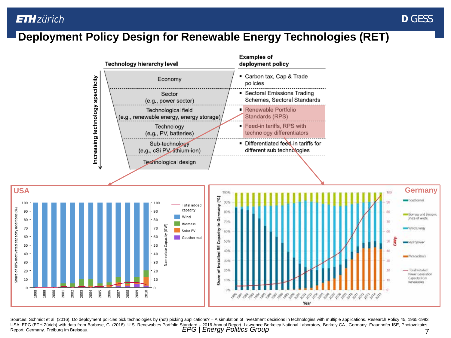## **Deployment Policy Design for Renewable Energy Technologies (RET)**



*EPG | Energy Politics Group* 7 Sources: Schmidt et al. (2016). Do deployment policies pick technologies by (not) picking applications? - A simulation of investment decisions in technologies with multiple applications. Research Policy 45, 1965-1983. USA: EPG (ETH Zürich) with data from Barbose, G. (2016). U.S. Renewables Portfolio Standard – 2016 Annual Report. Lawrence Berkeley National Laboratory, Berkely CA., Germany: Fraunhofer ISE, Photovoltaics Report, Germany. Freiburg im Breisgau.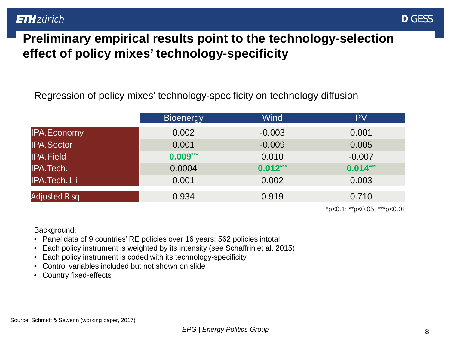

## **Preliminary empirical results point to the technology-selection effect of policy mixes' technology-specificity**

Regression of policy mixes' technology-specificity on technology diffusion

|                    | <b>Bioenergy</b> | Wind       | <b>PV</b>  |
|--------------------|------------------|------------|------------|
| <b>IPA.Economy</b> | 0.002            | $-0.003$   | 0.001      |
| <b>IPA.Sector</b>  | 0.001            | $-0.009$   | 0.005      |
| <b>IPA.Field</b>   | $0.009***$       | 0.010      | $-0.007$   |
| IPA.Tech.i         | 0.0004           | $0.012***$ | $0.014***$ |
| IPA.Tech.1-i       | 0.001            | 0.002      | 0.003      |
| Adjusted R sq      | 0.934            | 0.919      | 0.710      |
|                    |                  |            |            |

\*p<0.1; \*\*p<0.05; \*\*\*p<0.01

Background:

- Panel data of 9 countries' RE policies over 16 years: 562 policies intotal
- Each policy instrument is weighted by its intensity (see Schaffrin et al. 2015)
- Each policy instrument is coded with its technology-specificity
- Control variables included but not shown on slide
- Country fixed-effects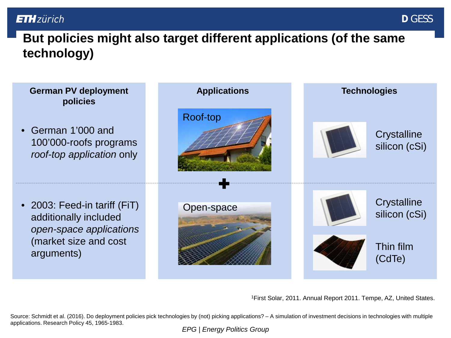# **But policies might also target different applications (of the same technology)**



1First Solar, 2011. Annual Report 2011. Tempe, AZ, United States.

Source: Schmidt et al. (2016). Do deployment policies pick technologies by (not) picking applications? – A simulation of investment decisions in technologies with multiple applications. Research Policy 45, 1965-1983.

*EPG | Energy Politics Group*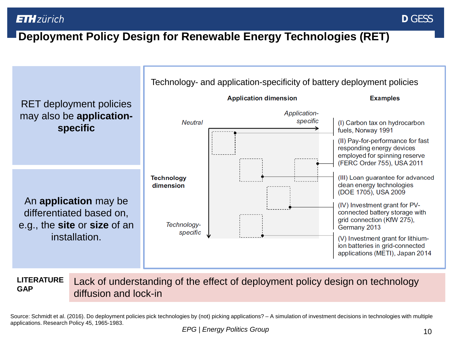## **Deployment Policy Design for Renewable Energy Technologies (RET)**



Lack of understanding of the effect of deployment policy design on technology diffusion and lock-in **LITERATURE GAP**

Source: Schmidt et al. (2016). Do deployment policies pick technologies by (not) picking applications? – A simulation of investment decisions in technologies with multiple applications. Research Policy 45, 1965-1983.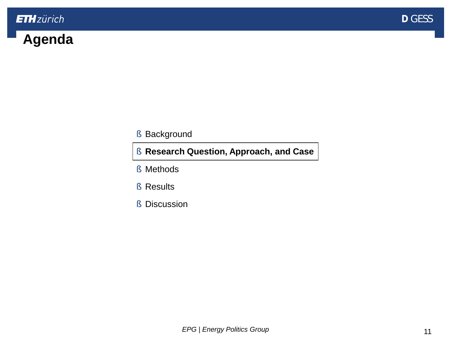

# <span id="page-10-0"></span>**Agenda**

#### § [Background](#page-2-0)

#### § **Research Question, Approach, and Case**

- § [Methods](#page-13-0)
- § [Results](#page-18-0)
- § [Discussion](#page-22-0)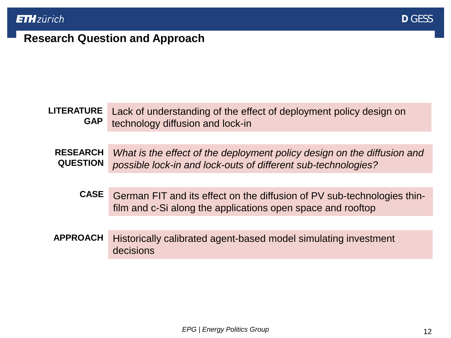## **Research Question and Approach**

#### Lack of understanding of the effect of deployment policy design on technology diffusion and lock-in **LITERATURE GAP**

*What is the effect of the deployment policy design on the diffusion and possible lock-in and lock-outs of different sub-technologies?* **RESEARCH QUESTION**

- German FIT and its effect on the diffusion of PV sub-technologies thinfilm and c-Si along the applications open space and rooftop **CASE**
- Historically calibrated agent-based model simulating investment decisions **APPROACH**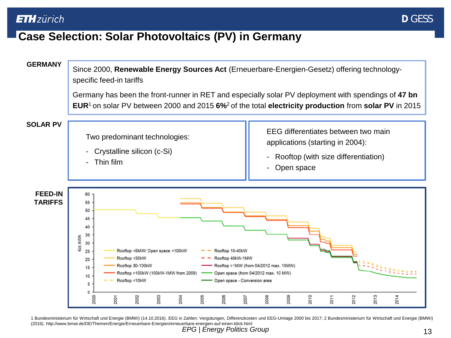## **Case Selection: Solar Photovoltaics (PV) in Germany**



*EPG* | *Energy Politics Group* 13 1 Bundesministerium für Wirtschaft und Energie (BMWi) (14.10.2016). EEG in Zahlen: Vergütungen, Differenzkosten und EEG-Umlage 2000 bis 2017; 2 Bundesministerium für Wirtschaft und Energie (BMWi) (2016). http://www.bmwi.de/DE/Themen/Energie/Erneuerbare-Energien/erneuerbare-energien-auf-einen-blick.html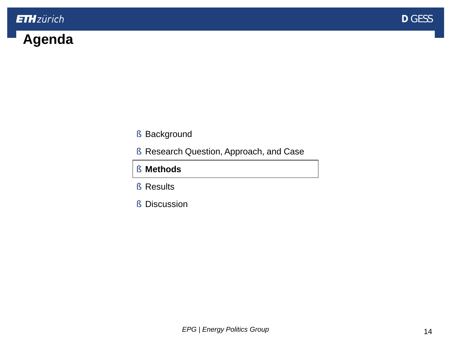

# <span id="page-13-0"></span>**Agenda**

- § [Background](#page-2-0)
- **§ [Research Question, Approach, and Case](#page-10-0)**
- § **Methods**
- § [Results](#page-18-0)
- § [Discussion](#page-22-0)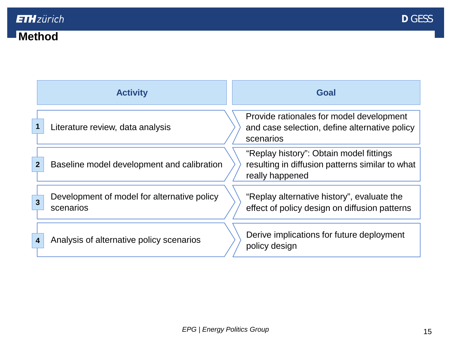## **Method**

| <b>Activity</b> |                                                          | Goal                                                                                                          |  |  |
|-----------------|----------------------------------------------------------|---------------------------------------------------------------------------------------------------------------|--|--|
|                 | Literature review, data analysis                         | Provide rationales for model development<br>and case selection, define alternative policy<br>scenarios        |  |  |
| $\overline{2}$  | Baseline model development and calibration               | "Replay history": Obtain model fittings<br>resulting in diffusion patterns similar to what<br>really happened |  |  |
| 3               | Development of model for alternative policy<br>scenarios | "Replay alternative history", evaluate the<br>effect of policy design on diffusion patterns                   |  |  |
| 4               | Analysis of alternative policy scenarios                 | Derive implications for future deployment<br>policy design                                                    |  |  |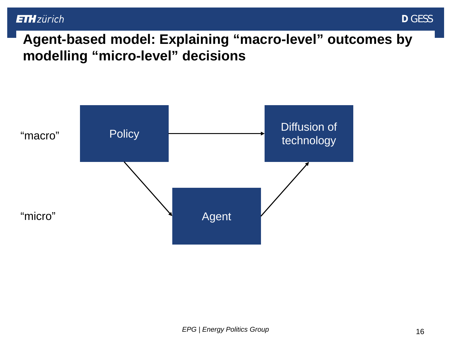

**Agent-based model: Explaining "macro-level" outcomes by modelling "micro-level" decisions**

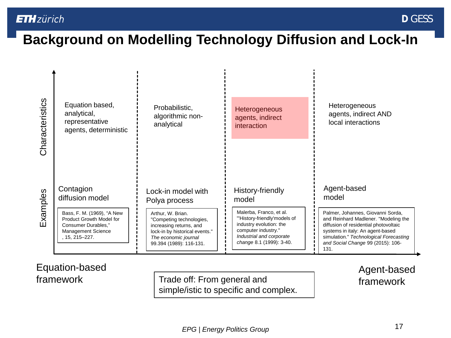# **Background on Modelling Technology Diffusion and Lock-In**

| Characteristics | Equation based,<br>analytical,<br>representative<br>agents, deterministic                                             | Probabilistic,<br>algorithmic non-<br>analytical                                                                                                              | <b>Heterogeneous</b><br>agents, indirect<br><i>interaction</i>                                                                                                   | Heterogeneous<br>agents, indirect AND<br>local interactions                                                                                                                                                                                   |
|-----------------|-----------------------------------------------------------------------------------------------------------------------|---------------------------------------------------------------------------------------------------------------------------------------------------------------|------------------------------------------------------------------------------------------------------------------------------------------------------------------|-----------------------------------------------------------------------------------------------------------------------------------------------------------------------------------------------------------------------------------------------|
|                 |                                                                                                                       |                                                                                                                                                               |                                                                                                                                                                  |                                                                                                                                                                                                                                               |
| Examples        | Contagion<br>diffusion model                                                                                          | Lock-in model with<br>Polya process                                                                                                                           | History-friendly<br>model                                                                                                                                        | Agent-based<br>model                                                                                                                                                                                                                          |
|                 | Bass, F. M. (1969), "A New<br>Product Growth Model for<br>Consumer Durables,"<br>Management Science<br>. 15, 215–227. | Arthur, W. Brian.<br>"Competing technologies,<br>increasing returns, and<br>lock-in by historical events."<br>The economic journal<br>99.394 (1989): 116-131. | Malerba, Franco, et al.<br>"History-friendly'models of<br>industry evolution: the<br>computer industry."<br>Industrial and corporate<br>change 8.1 (1999): 3-40. | Palmer, Johannes, Giovanni Sorda,<br>and Reinhard Madlener. "Modeling the<br>diffusion of residential photovoltaic<br>systems in italy: An agent-based<br>simulation." Technological Forecasting<br>and Social Change 99 (2015): 106-<br>131. |

#### Equation-based framework

Trade off: From general and **framework** simple/istic to specific and complex.

Agent-based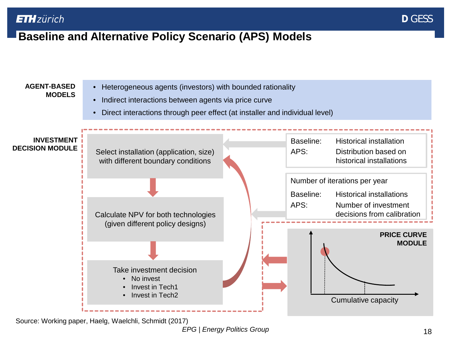## **Baseline and Alternative Policy Scenario (APS) Models**



Source: Working paper, Haelg, Waelchli, Schmidt (2017)

*EPG* | *Energy Politics Group* 18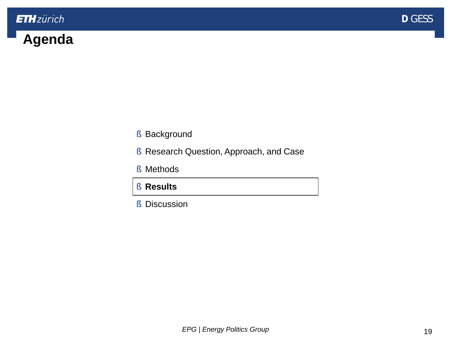

# <span id="page-18-0"></span>**Agenda**

- § [Background](#page-2-0)
- § [Research Question, Approach, and Case](#page-10-0)
- § [Methods](#page-13-0)
- § **Results**
- § [Discussion](#page-22-0)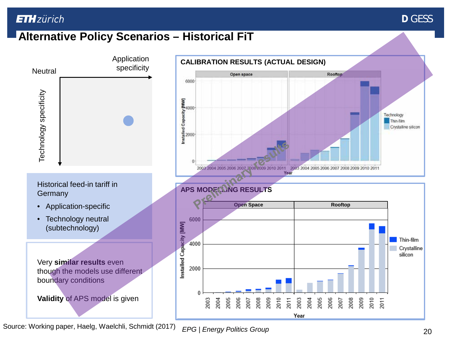

## **Alternative Policy Scenarios – Historical FiT**

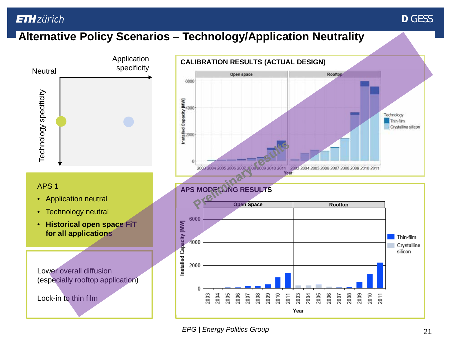## **Alternative Policy Scenarios – Technology/Application Neutrality**



**D** GESS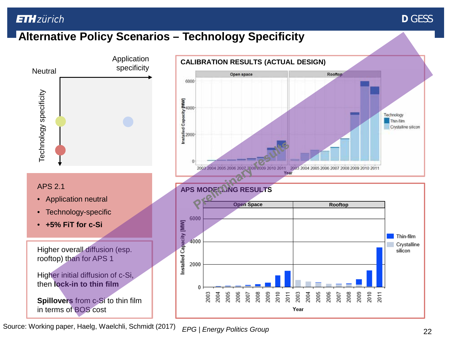### **D** GESS

## **Alternative Policy Scenarios – Technology Specificity**



*EPG | Energy Politics Group* 22 Source: Working paper, Haelg, Waelchli, Schmidt (2017)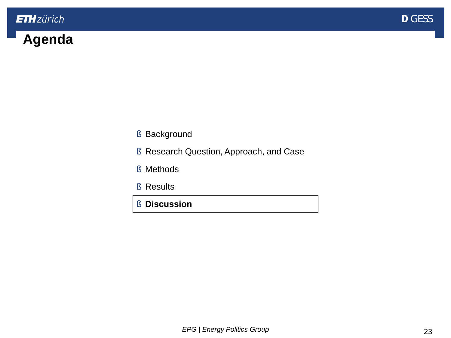

# <span id="page-22-0"></span>**Agenda**

- § [Background](#page-2-0)
- § [Research Question, Approach, and Case](#page-10-0)
- § [Methods](#page-13-0)
- § [Results](#page-18-0)
- § **Discussion**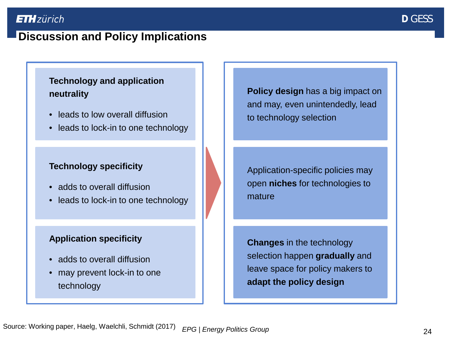## **Discussion and Policy Implications**

#### **Technology and application neutrality**

- leads to low overall diffusion
- leads to lock-in to one technology

#### **Technology specificity**

- adds to overall diffusion
- leads to lock-in to one technology

#### **Application specificity**

- adds to overall diffusion
- may prevent lock-in to one technology

**Policy design** has a big impact on and may, even unintendedly, lead to technology selection

Application-specific policies may open **niches** for technologies to mature

**Changes** in the technology selection happen **gradually** and leave space for policy makers to **adapt the policy design**